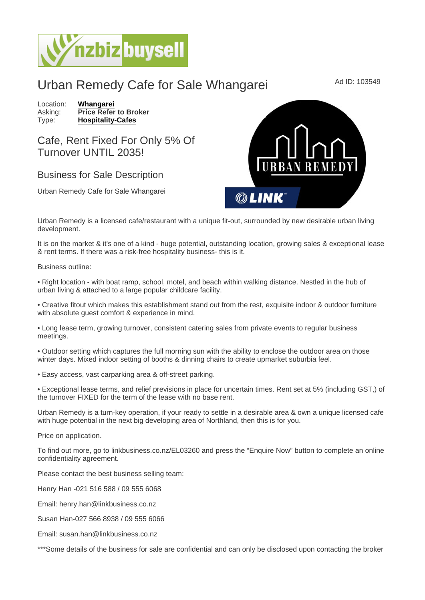## Urban Remedy Cafe for Sale Whangarei Mad ID: 103549

Location: [Whangarei](https://www.nzbizbuysell.co.nz/businesses-for-sale/location/Whangarei) Asking: Price Refer to Broker<br>Type: Hospitality-Cafes [Hospitality-Cafes](https://www.nzbizbuysell.co.nz/businesses-for-sale/Cafes/New-Zealand)

Cafe, Rent Fixed For Only 5% Of Turnover UNTIL 2035!

## Business for Sale Description

Urban Remedy Cafe for Sale Whangarei

Urban Remedy is a licensed cafe/restaurant with a unique fit-out, surrounded by new desirable urban living development.

It is on the market & it's one of a kind - huge potential, outstanding location, growing sales & exceptional lease & rent terms. If there was a risk-free hospitality business- this is it.

Business outline:

• Right location - with boat ramp, school, motel, and beach within walking distance. Nestled in the hub of urban living & attached to a large popular childcare facility.

• Creative fitout which makes this establishment stand out from the rest, exquisite indoor & outdoor furniture with absolute guest comfort & experience in mind.

• Long lease term, growing turnover, consistent catering sales from private events to regular business meetings.

• Outdoor setting which captures the full morning sun with the ability to enclose the outdoor area on those winter days. Mixed indoor setting of booths & dinning chairs to create upmarket suburbia feel.

• Easy access, vast carparking area & off-street parking.

• Exceptional lease terms, and relief previsions in place for uncertain times. Rent set at 5% (including GST,) of the turnover FIXED for the term of the lease with no base rent.

Urban Remedy is a turn-key operation, if your ready to settle in a desirable area & own a unique licensed cafe with huge potential in the next big developing area of Northland, then this is for you.

Price on application.

To find out more, go to linkbusiness.co.nz/EL03260 and press the "Enquire Now" button to complete an online confidentiality agreement.

Please contact the best business selling team:

Henry Han -021 516 588 / 09 555 6068

Email: henry.han@linkbusiness.co.nz

Susan Han-027 566 8938 / 09 555 6066

Email: susan.han@linkbusiness.co.nz

\*\*\*Some details of the business for sale are confidential and can only be disclosed upon contacting the broker